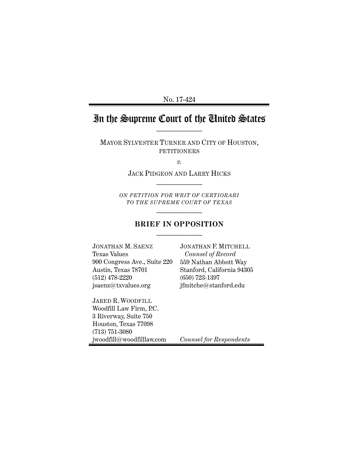No. 17-424

# In the Supreme Court of the United States

MAYOR SYLVESTER TURNER AND CITY OF HOUSTON, PETITIONERS

*v.*

JACK PIDGEON AND LARRY HICKS  $\frac{1}{2}$ 

*ON PETITION FOR WRIT OF CERTIORARI TO THE SUPREME COURT OF TEXAS*  $\frac{1}{2}$ 

#### **BRIEF IN OPPOSITION**  $\frac{1}{2}$

JONATHAN M. SAENZ Texas Values 900 Congress Ave., Suite 220 Austin, Texas 78701 (512) 478-2220 jsaenz@txvalues.org

JARED R. WOODFILL Woodfill Law Firm, P.C. 3 Riverway, Suite 750 Houston, Texas 77098 (713) 751-3080 jwoodfill@woodfilllaw.com JONATHAN F. MITCHELL *Counsel of Record* 559 Nathan Abbott Way Stanford, California 94305 (650) 723-1397 jfmitche@stanford.edu

*Counsel for Respondents*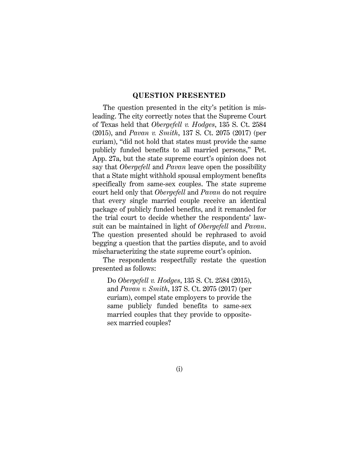#### **QUESTION PRESENTED**

The question presented in the city's petition is misleading. The city correctly notes that the Supreme Court of Texas held that *Obergefell v. Hodges*, 135 S. Ct. 2584 (2015), and *Pavan v. Smith*, 137 S. Ct. 2075 (2017) (per curiam), "did not hold that states must provide the same publicly funded benefits to all married persons," Pet. App. 27a, but the state supreme court's opinion does not say that *Obergefell* and *Pavan* leave open the possibility that a State might withhold spousal employment benefits specifically from same-sex couples. The state supreme court held only that *Obergefell* and *Pavan* do not require that every single married couple receive an identical package of publicly funded benefits, and it remanded for the trial court to decide whether the respondents' lawsuit can be maintained in light of *Obergefell* and *Pavan*. The question presented should be rephrased to avoid begging a question that the parties dispute, and to avoid mischaracterizing the state supreme court's opinion.

The respondents respectfully restate the question presented as follows:

Do *Obergefell v. Hodges*, 135 S. Ct. 2584 (2015), and *Pavan v. Smith*, 137 S. Ct. 2075 (2017) (per curiam), compel state employers to provide the same publicly funded benefits to same-sex married couples that they provide to oppositesex married couples?

(i)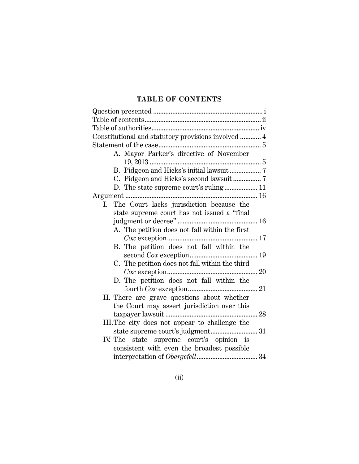## **TABLE OF CONTENTS**

| Constitutional and statutory provisions involved  4 |  |
|-----------------------------------------------------|--|
|                                                     |  |
| A. Mayor Parker's directive of November             |  |
|                                                     |  |
|                                                     |  |
| C. Pidgeon and Hicks's second lawsuit7              |  |
| D. The state supreme court's ruling 11              |  |
|                                                     |  |
| The Court lacks jurisdiction because the<br>Ι.      |  |
| state supreme court has not issued a "final         |  |
|                                                     |  |
| A. The petition does not fall within the first      |  |
|                                                     |  |
| B. The petition does not fall within the            |  |
|                                                     |  |
| C. The petition does not fall within the third      |  |
|                                                     |  |
| D. The petition does not fall within the            |  |
|                                                     |  |
| II. There are grave questions about whether         |  |
| the Court may assert jurisdiction over this         |  |
|                                                     |  |
| III. The city does not appear to challenge the      |  |
|                                                     |  |
| IV. The state supreme court's opinion is            |  |
| consistent with even the broadest possible          |  |
|                                                     |  |
|                                                     |  |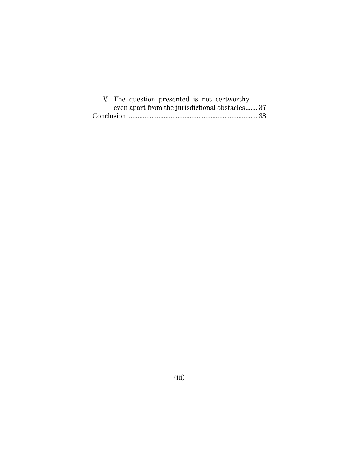|  |  |  | V. The question presented is not certworthy     |  |
|--|--|--|-------------------------------------------------|--|
|  |  |  | even apart from the jurisdictional obstacles 37 |  |
|  |  |  |                                                 |  |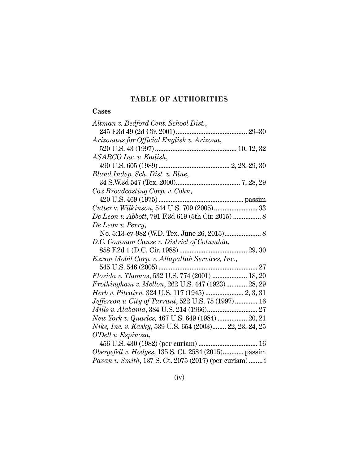## **TABLE OF AUTHORITIES**

## **Cases**

| Altman v. Bedford Cent. School Dist.,                                                                                 |
|-----------------------------------------------------------------------------------------------------------------------|
|                                                                                                                       |
| Arizonans for Official English v. Arizona,                                                                            |
|                                                                                                                       |
| ASARCO Inc. v. Kadish,                                                                                                |
|                                                                                                                       |
| Bland Indep. Sch. Dist. v. Blue,                                                                                      |
|                                                                                                                       |
| Cox Broadcasting Corp. v. Cohn,                                                                                       |
|                                                                                                                       |
| Cutter v. Wilkinson, 544 U.S. 709 (2005) 33                                                                           |
| De Leon v. Abbott, 791 F.3d 619 (5th Cir. 2015)  8                                                                    |
| De Leon v. Perry,                                                                                                     |
| No. 5:13-cv-982 (W.D. Tex. June 26, 2015) 8                                                                           |
|                                                                                                                       |
| D.C. Common Cause v. District of Columbia,                                                                            |
|                                                                                                                       |
| Exxon Mobil Corp. v. Allapattah Services, Inc.,                                                                       |
|                                                                                                                       |
| Florida v. Thomas, 532 U.S. 774 (2001)  18, 20                                                                        |
| Frothingham v. Mellon, 262 U.S. 447 (1923) 28, 29                                                                     |
| Herb v. Pitcairn, 324 U.S. 117 (1945)  2, 3, 31                                                                       |
| Jefferson v. City of Tarrant, 522 U.S. 75 (1997) 16                                                                   |
| Mills v. Alabama, 384 U.S. 214 (1966) 27                                                                              |
| New York v. Quarles, 467 U.S. 649 (1984)  20, 21                                                                      |
| Nike, Inc. v. Kasky, 539 U.S. 654 (2003) 22, 23, 24, 25                                                               |
| O'Dell v. Espinoza,                                                                                                   |
|                                                                                                                       |
| Obergefell v. Hodges, 135 S. Ct. 2584 (2015) passim<br><i>Pavan v. Smith</i> , 137 S. Ct. 2075 (2017) (per curiam)  i |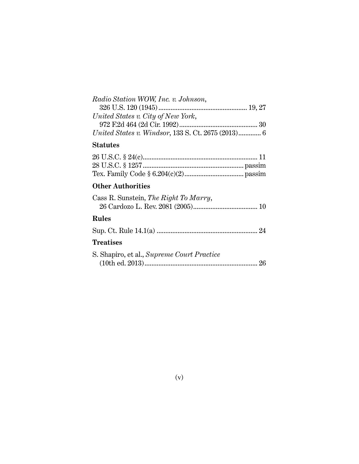| Radio Station WOW, Inc. v. Johnson,                       |  |
|-----------------------------------------------------------|--|
|                                                           |  |
| United States v. City of New York,                        |  |
|                                                           |  |
| <i>United States v. Windsor, 133 S. Ct. 2675 (2013)</i> 6 |  |

## **Statutes**

## **Other Authorities**

| Cass R. Sunstein, The Right To Marry, |  |
|---------------------------------------|--|
|                                       |  |

## **Rules**

|--|--|--|

## **Treatises**

| S. Shapiro, et al., Supreme Court Practice |  |
|--------------------------------------------|--|
|                                            |  |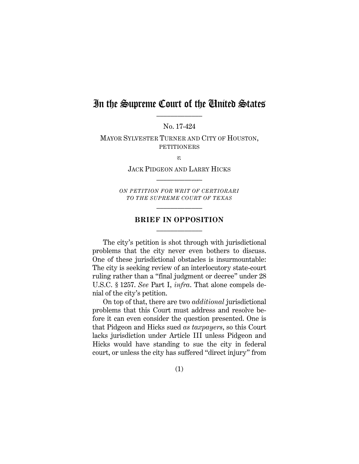## In the Supreme Court of the United States

No. 17-424

MAYOR SYLVESTER TURNER AND CITY OF HOUSTON, PETITIONERS

*v.*

JACK PIDGEON AND LARRY HICKS  $\frac{1}{2}$ 

*ON PETITION FOR WRIT OF CERTIORARI TO THE SUPREME COURT OF TEXAS*  $\frac{1}{2}$ 

#### **BRIEF IN OPPOSITION**  $\frac{1}{2}$

The city's petition is shot through with jurisdictional problems that the city never even bothers to discuss. One of these jurisdictional obstacles is insurmountable: The city is seeking review of an interlocutory state-court ruling rather than a "final judgment or decree" under 28 U.S.C. § 1257. *See* Part I, *infra*. That alone compels denial of the city's petition.

On top of that, there are two *additional* jurisdictional problems that this Court must address and resolve before it can even consider the question presented. One is that Pidgeon and Hicks sued *as taxpayers*, so this Court lacks jurisdiction under Article III unless Pidgeon and Hicks would have standing to sue the city in federal court, or unless the city has suffered "direct injury" from

(1)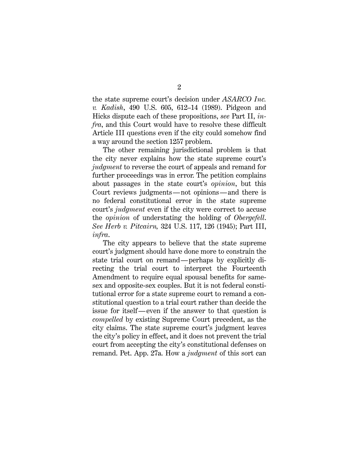the state supreme court's decision under *ASARCO Inc. v. Kadish*, 490 U.S. 605, 612–14 (1989). Pidgeon and Hicks dispute each of these propositions, *see* Part II, *infra*, and this Court would have to resolve these difficult Article III questions even if the city could somehow find a way around the section 1257 problem.

The other remaining jurisdictional problem is that the city never explains how the state supreme court's *judgment* to reverse the court of appeals and remand for further proceedings was in error. The petition complains about passages in the state court's *opinion*, but this Court reviews judgments—not opinions—and there is no federal constitutional error in the state supreme court's *judgment* even if the city were correct to accuse the *opinion* of understating the holding of *Obergefell*. *See Herb v. Pitcairn,* 324 U.S. 117, 126 (1945); Part III, *infra*.

The city appears to believe that the state supreme court's judgment should have done more to constrain the state trial court on remand—perhaps by explicitly directing the trial court to interpret the Fourteenth Amendment to require equal spousal benefits for samesex and opposite-sex couples. But it is not federal constitutional error for a state supreme court to remand a constitutional question to a trial court rather than decide the issue for itself—even if the answer to that question is *compelled* by existing Supreme Court precedent, as the city claims. The state supreme court's judgment leaves the city's policy in effect, and it does not prevent the trial court from accepting the city's constitutional defenses on remand. Pet. App. 27a. How a *judgment* of this sort can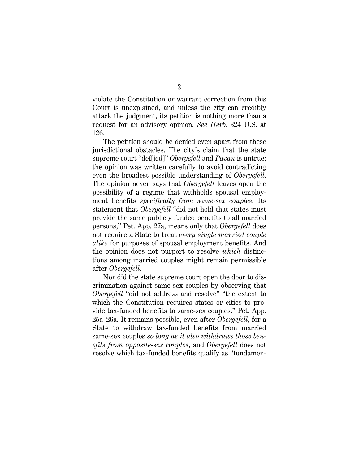violate the Constitution or warrant correction from this Court is unexplained, and unless the city can credibly attack the judgment, its petition is nothing more than a request for an advisory opinion. *See Herb,* 324 U.S. at 126.

The petition should be denied even apart from these jurisdictional obstacles. The city's claim that the state supreme court "def[ied]" *Obergefell* and *Pavan* is untrue; the opinion was written carefully to avoid contradicting even the broadest possible understanding of *Obergefell*. The opinion never says that *Obergefell* leaves open the possibility of a regime that withholds spousal employment benefits *specifically from same-sex couples*. Its statement that *Obergefell* "did not hold that states must provide the same publicly funded benefits to all married persons," Pet. App. 27a, means only that *Obergefell* does not require a State to treat *every single married couple alike* for purposes of spousal employment benefits. And the opinion does not purport to resolve *which* distinctions among married couples might remain permissible after *Obergefell*.

Nor did the state supreme court open the door to discrimination against same-sex couples by observing that *Obergefell* "did not address and resolve" "the extent to which the Constitution requires states or cities to provide tax-funded benefits to same-sex couples." Pet. App. 25a–26a. It remains possible, even after *Obergefell*, for a State to withdraw tax-funded benefits from married same-sex couples *so long as it also withdraws those benefits from opposite-sex couples*, and *Obergefell* does not resolve which tax-funded benefits qualify as "fundamen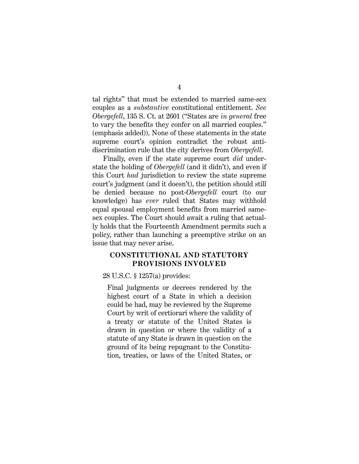tal rights" that must be extended to married same-sex couples as a *substantive* constitutional entitlement. *See Obergefell*, 135 S. Ct. at 2601 ("States are *in general* free to vary the benefits they confer on all married couples." (emphasis added)). None of these statements in the state supreme court's opinion contradict the robust antidiscrimination rule that the city derives from *Obergefell*.

Finally, even if the state supreme court *did* understate the holding of *Obergefell* (and it didn't), and even if this Court *had* jurisdiction to review the state supreme court's judgment (and it doesn't), the petition should still be denied because no post-*Obergefell* court (to our knowledge) has *ever* ruled that States may withhold equal spousal employment benefits from married samesex couples. The Court should await a ruling that actually holds that the Fourteenth Amendment permits such a policy, rather than launching a preemptive strike on an issue that may never arise.

### **CONSTITUTIONAL AND STATUTORY PROVISIONS INVOLVED**

28 U.S.C. § 1257(a) provides:

Final judgments or decrees rendered by the highest court of a State in which a decision could be had, may be reviewed by the Supreme Court by writ of certiorari where the validity of a treaty or statute of the United States is drawn in question or where the validity of a statute of any State is drawn in question on the ground of its being repugnant to the Constitution, treaties, or laws of the United States, or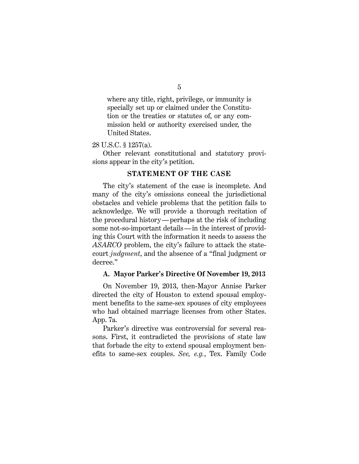where any title, right, privilege, or immunity is specially set up or claimed under the Constitution or the treaties or statutes of, or any commission held or authority exercised under, the United States.

#### 28 U.S.C. § 1257(a).

Other relevant constitutional and statutory provisions appear in the city's petition.

#### **STATEMENT OF THE CASE**

The city's statement of the case is incomplete. And many of the city's omissions conceal the jurisdictional obstacles and vehicle problems that the petition fails to acknowledge. We will provide a thorough recitation of the procedural history—perhaps at the risk of including some not-so-important details—in the interest of providing this Court with the information it needs to assess the *ASARCO* problem, the city's failure to attack the statecourt *judgment*, and the absence of a "final judgment or decree."

#### **A. Mayor Parker's Directive Of November 19, 2013**

On November 19, 2013, then-Mayor Annise Parker directed the city of Houston to extend spousal employment benefits to the same-sex spouses of city employees who had obtained marriage licenses from other States. App. 7a.

Parker's directive was controversial for several reasons. First, it contradicted the provisions of state law that forbade the city to extend spousal employment benefits to same-sex couples. *See, e.g.*, Tex. Family Code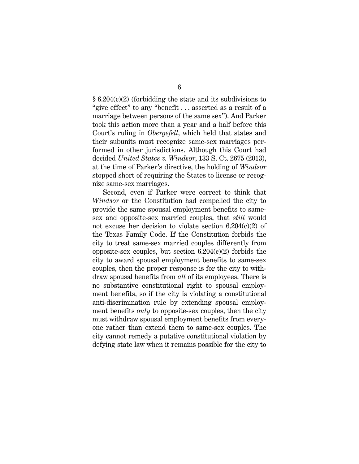§ 6.204(c)(2) (forbidding the state and its subdivisions to "give effect" to any "benefit . . . asserted as a result of a marriage between persons of the same sex"). And Parker took this action more than a year and a half before this Court's ruling in *Obergefell*, which held that states and their subunits must recognize same-sex marriages performed in other jurisdictions. Although this Court had decided *United States v. Windsor*, 133 S. Ct. 2675 (2013), at the time of Parker's directive, the holding of *Windsor* stopped short of requiring the States to license or recognize same-sex marriages.

Second, even if Parker were correct to think that *Windsor* or the Constitution had compelled the city to provide the same spousal employment benefits to samesex and opposite-sex married couples, that *still* would not excuse her decision to violate section 6.204(c)(2) of the Texas Family Code. If the Constitution forbids the city to treat same-sex married couples differently from opposite-sex couples, but section  $6.204(c)(2)$  forbids the city to award spousal employment benefits to same-sex couples, then the proper response is for the city to withdraw spousal benefits from *all* of its employees. There is no substantive constitutional right to spousal employment benefits, so if the city is violating a constitutional anti-discrimination rule by extending spousal employment benefits *only* to opposite-sex couples, then the city must withdraw spousal employment benefits from everyone rather than extend them to same-sex couples. The city cannot remedy a putative constitutional violation by defying state law when it remains possible for the city to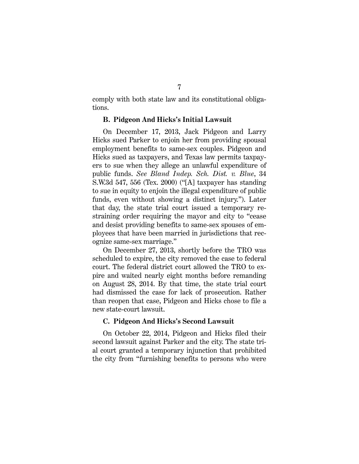comply with both state law and its constitutional obligations.

#### **B. Pidgeon And Hicks's Initial Lawsuit**

On December 17, 2013, Jack Pidgeon and Larry Hicks sued Parker to enjoin her from providing spousal employment benefits to same-sex couples. Pidgeon and Hicks sued as taxpayers, and Texas law permits taxpayers to sue when they allege an unlawful expenditure of public funds. *See Bland Indep. Sch. Dist. v. Blue*, 34 S.W.3d 547, 556 (Tex. 2000) ("[A] taxpayer has standing to sue in equity to enjoin the illegal expenditure of public funds, even without showing a distinct injury."). Later that day, the state trial court issued a temporary restraining order requiring the mayor and city to "cease and desist providing benefits to same-sex spouses of employees that have been married in jurisdictions that recognize same-sex marriage."

On December 27, 2013, shortly before the TRO was scheduled to expire, the city removed the case to federal court. The federal district court allowed the TRO to expire and waited nearly eight months before remanding on August 28, 2014. By that time, the state trial court had dismissed the case for lack of prosecution. Rather than reopen that case, Pidgeon and Hicks chose to file a new state-court lawsuit.

#### **C. Pidgeon And Hicks's Second Lawsuit**

On October 22, 2014, Pidgeon and Hicks filed their second lawsuit against Parker and the city. The state trial court granted a temporary injunction that prohibited the city from "furnishing benefits to persons who were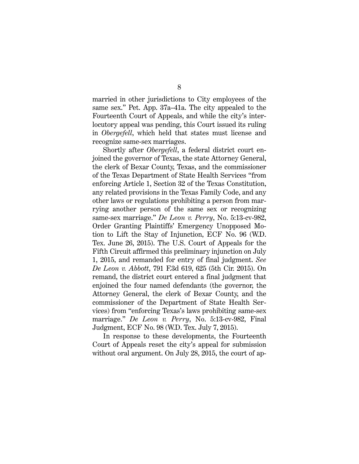married in other jurisdictions to City employees of the same sex." Pet. App. 37a–41a. The city appealed to the Fourteenth Court of Appeals, and while the city's interlocutory appeal was pending, this Court issued its ruling in *Obergefell*, which held that states must license and recognize same-sex marriages.

Shortly after *Obergefell*, a federal district court enjoined the governor of Texas, the state Attorney General, the clerk of Bexar County, Texas, and the commissioner of the Texas Department of State Health Services "from enforcing Article 1, Section 32 of the Texas Constitution, any related provisions in the Texas Family Code, and any other laws or regulations prohibiting a person from marrying another person of the same sex or recognizing same-sex marriage." *De Leon v. Perry*, No. 5:13-cv-982, Order Granting Plaintiffs' Emergency Unopposed Motion to Lift the Stay of Injunction, ECF No. 96 (W.D. Tex. June 26, 2015). The U.S. Court of Appeals for the Fifth Circuit affirmed this preliminary injunction on July 1, 2015, and remanded for entry of final judgment. *See De Leon v. Abbott*, 791 F.3d 619, 625 (5th Cir. 2015). On remand, the district court entered a final judgment that enjoined the four named defendants (the governor, the Attorney General, the clerk of Bexar County, and the commissioner of the Department of State Health Services) from "enforcing Texas's laws prohibiting same-sex marriage." *De Leon v. Perry*, No. 5:13-cv-982, Final Judgment, ECF No. 98 (W.D. Tex. July 7, 2015).

In response to these developments, the Fourteenth Court of Appeals reset the city's appeal for submission without oral argument. On July 28, 2015, the court of ap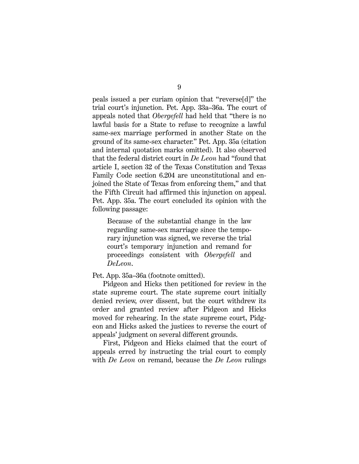peals issued a per curiam opinion that "reverse[d]" the trial court's injunction. Pet. App. 33a–36a. The court of appeals noted that *Obergefell* had held that "there is no lawful basis for a State to refuse to recognize a lawful same-sex marriage performed in another State on the ground of its same-sex character." Pet. App. 35a (citation and internal quotation marks omitted). It also observed that the federal district court in *De Leon* had "found that article I, section 32 of the Texas Constitution and Texas Family Code section 6.204 are unconstitutional and enjoined the State of Texas from enforcing them," and that the Fifth Circuit had affirmed this injunction on appeal. Pet. App. 35a. The court concluded its opinion with the following passage:

Because of the substantial change in the law regarding same-sex marriage since the temporary injunction was signed, we reverse the trial court's temporary injunction and remand for proceedings consistent with *Obergefell* and *DeLeon*.

#### Pet. App. 35a–36a (footnote omitted).

Pidgeon and Hicks then petitioned for review in the state supreme court. The state supreme court initially denied review, over dissent, but the court withdrew its order and granted review after Pidgeon and Hicks moved for rehearing. In the state supreme court, Pidgeon and Hicks asked the justices to reverse the court of appeals' judgment on several different grounds.

First, Pidgeon and Hicks claimed that the court of appeals erred by instructing the trial court to comply with *De Leon* on remand, because the *De Leon* rulings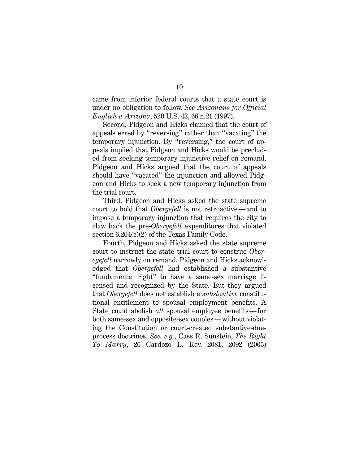came from inferior federal courts that a state court is under no obligation to follow. *See Arizonans for Official English v. Arizona*, 520 U.S. 43, 66 n.21 (1997).

Second, Pidgeon and Hicks claimed that the court of appeals erred by "reversing" rather than "vacating" the temporary injunction. By "reversing," the court of appeals implied that Pidgeon and Hicks would be precluded from seeking temporary injunctive relief on remand. Pidgeon and Hicks argued that the court of appeals should have "vacated" the injunction and allowed Pidgeon and Hicks to seek a new temporary injunction from the trial court.

Third, Pidgeon and Hicks asked the state supreme court to hold that *Obergefell* is not retroactive—and to impose a temporary injunction that requires the city to claw back the pre-*Obergefell* expenditures that violated section  $6.204(c)(2)$  of the Texas Family Code.

Fourth, Pidgeon and Hicks asked the state supreme court to instruct the state trial court to construe *Oberegefell* narrowly on remand. Pidgeon and Hicks acknowledged that *Obergefell* had established a substantive "fundamental right" to have a same-sex marriage licensed and recognized by the State. But they argued that *Obergefell* does not establish a *substantive* constitutional entitlement to spousal employment benefits. A State could abolish *all* spousal employee benefits—for both same-sex and opposite-sex couples—without violating the Constitution or court-created substantive-dueprocess doctrines. *See, e.g.*, Cass R. Sunstein, *The Right To Marry*, 26 Cardozo L. Rev. 2081, 2092 (2005)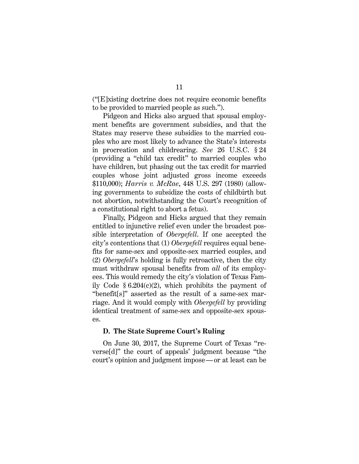("[E]xisting doctrine does not require economic benefits to be provided to married people as such.").

Pidgeon and Hicks also argued that spousal employment benefits are government subsidies, and that the States may reserve these subsidies to the married couples who are most likely to advance the State's interests in procreation and childrearing. *See* 26 U.S.C. § 24 (providing a "child tax credit" to married couples who have children, but phasing out the tax credit for married couples whose joint adjusted gross income exceeds \$110,000); *Harris v. McRae*, 448 U.S. 297 (1980) (allowing governments to subsidize the costs of childbirth but not abortion, notwithstanding the Court's recognition of a constitutional right to abort a fetus).

Finally, Pidgeon and Hicks argued that they remain entitled to injunctive relief even under the broadest possible interpretation of *Obergefell*. If one accepted the city's contentions that (1) *Obergefell* requires equal benefits for same-sex and opposite-sex married couples, and (2) *Obergefell*'s holding is fully retroactive, then the city must withdraw spousal benefits from *all* of its employees. This would remedy the city's violation of Texas Family Code  $\S 6.204(c)(2)$ , which prohibits the payment of "benefit[s]" asserted as the result of a same-sex marriage. And it would comply with *Obergefell* by providing identical treatment of same-sex and opposite-sex spouses.

#### **D. The State Supreme Court's Ruling**

On June 30, 2017, the Supreme Court of Texas "reverse[d]" the court of appeals' judgment because "the court's opinion and judgment impose—or at least can be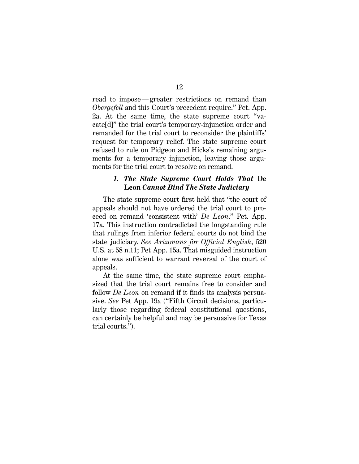read to impose—greater restrictions on remand than *Obergefell* and this Court's precedent require." Pet. App. 2a. At the same time, the state supreme court "vacate[d]" the trial court's temporary-injunction order and remanded for the trial court to reconsider the plaintiffs' request for temporary relief. The state supreme court refused to rule on Pidgeon and Hicks's remaining arguments for a temporary injunction, leaving those arguments for the trial court to resolve on remand.

#### *1. The State Supreme Court Holds That* **De Leon** *Cannot Bind The State Judiciary*

The state supreme court first held that "the court of appeals should not have ordered the trial court to proceed on remand 'consistent with' *De Leon*." Pet. App. 17a. This instruction contradicted the longstanding rule that rulings from inferior federal courts do not bind the state judiciary. *See Arizonans for Official English*, 520 U.S. at 58 n.11; Pet App. 15a. That misguided instruction alone was sufficient to warrant reversal of the court of appeals.

At the same time, the state supreme court emphasized that the trial court remains free to consider and follow *De Leon* on remand if it finds its analysis persuasive. *See* Pet App. 19a ("Fifth Circuit decisions, particularly those regarding federal constitutional questions, can certainly be helpful and may be persuasive for Texas trial courts.").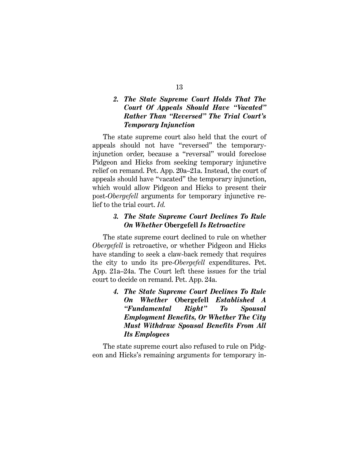## *2. The State Supreme Court Holds That The Court Of Appeals Should Have "Vacated" Rather Than "Reversed" The Trial Court's Temporary Injunction*

The state supreme court also held that the court of appeals should not have "reversed" the temporaryinjunction order, because a "reversal" would foreclose Pidgeon and Hicks from seeking temporary injunctive relief on remand. Pet. App. 20a–21a. Instead, the court of appeals should have "vacated" the temporary injunction, which would allow Pidgeon and Hicks to present their post-*Obergefell* arguments for temporary injunctive relief to the trial court. *Id.*

### *3. The State Supreme Court Declines To Rule On Whether* **Obergefell** *Is Retroactive*

The state supreme court declined to rule on whether *Obergefell* is retroactive, or whether Pidgeon and Hicks have standing to seek a claw-back remedy that requires the city to undo its pre-*Obergefell* expenditures. Pet. App. 21a–24a. The Court left these issues for the trial court to decide on remand. Pet. App. 24a.

> *4. The State Supreme Court Declines To Rule On Whether* **Obergefell** *Established A "Fundamental Right" To Spousal Employment Benefits, Or Whether The City Must Withdraw Spousal Benefits From All Its Employees*

The state supreme court also refused to rule on Pidgeon and Hicks's remaining arguments for temporary in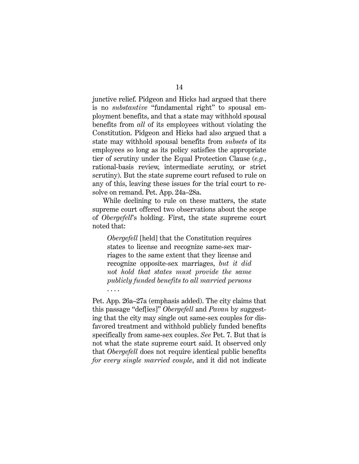junctive relief. Pidgeon and Hicks had argued that there is no *substantive* "fundamental right" to spousal employment benefits, and that a state may withhold spousal benefits from *all* of its employees without violating the Constitution. Pidgeon and Hicks had also argued that a state may withhold spousal benefits from *subsets* of its employees so long as its policy satisfies the appropriate tier of scrutiny under the Equal Protection Clause (*e.g.*, rational-basis review, intermediate scrutiny, or strict scrutiny). But the state supreme court refused to rule on any of this, leaving these issues for the trial court to resolve on remand. Pet. App. 24a–28a.

While declining to rule on these matters, the state supreme court offered two observations about the scope of *Obergefell*'s holding. First, the state supreme court noted that:

*Obergefell* [held] that the Constitution requires states to license and recognize same-sex marriages to the same extent that they license and recognize opposite-sex marriages, *but it did not hold that states must provide the same publicly funded benefits to all married persons* . . . .

Pet. App. 26a–27a (emphasis added). The city claims that this passage "def[ies]" *Obergefell* and *Pavan* by suggesting that the city may single out same-sex couples for disfavored treatment and withhold publicly funded benefits specifically from same-sex couples. *See* Pet. 7. But that is not what the state supreme court said. It observed only that *Obergefell* does not require identical public benefits *for every single married couple*, and it did not indicate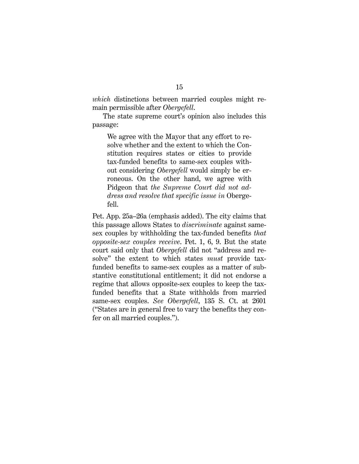*which* distinctions between married couples might remain permissible after *Obergefell*.

The state supreme court's opinion also includes this passage:

We agree with the Mayor that any effort to resolve whether and the extent to which the Constitution requires states or cities to provide tax-funded benefits to same-sex couples without considering *Obergefell* would simply be erroneous. On the other hand, we agree with Pidgeon that *the Supreme Court did not address and resolve that specific issue in* Obergefell.

Pet. App. 25a–26a (emphasis added). The city claims that this passage allows States to *discriminate* against samesex couples by withholding the tax-funded benefits *that opposite-sex couples receive*. Pet. 1, 6, 9. But the state court said only that *Obergefell* did not "address and resolve" the extent to which states *must* provide taxfunded benefits to same-sex couples as a matter of substantive constitutional entitlement; it did not endorse a regime that allows opposite-sex couples to keep the taxfunded benefits that a State withholds from married same-sex couples. *See Obergefell*, 135 S. Ct. at 2601 ("States are in general free to vary the benefits they confer on all married couples.").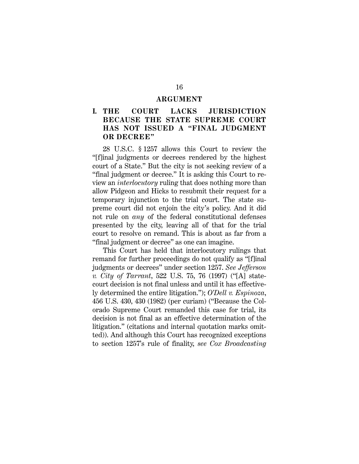#### **ARGUMENT**

## **I. THE COURT LACKS JURISDICTION BECAUSE THE STATE SUPREME COURT HAS NOT ISSUED A "FINAL JUDGMENT OR DECREE"**

28 U.S.C. § 1257 allows this Court to review the "[f]inal judgments or decrees rendered by the highest court of a State." But the city is not seeking review of a "final judgment or decree." It is asking this Court to review an *interlocutory* ruling that does nothing more than allow Pidgeon and Hicks to resubmit their request for a temporary injunction to the trial court. The state supreme court did not enjoin the city's policy. And it did not rule on *any* of the federal constitutional defenses presented by the city, leaving all of that for the trial court to resolve on remand. This is about as far from a "final judgment or decree" as one can imagine.

This Court has held that interlocutory rulings that remand for further proceedings do not qualify as "[f]inal judgments or decrees" under section 1257. *See Jefferson v. City of Tarrant*, 522 U.S. 75, 76 (1997) ("[A] statecourt decision is not final unless and until it has effectively determined the entire litigation."); *O'Dell v. Espinoza*, 456 U.S. 430, 430 (1982) (per curiam) ("Because the Colorado Supreme Court remanded this case for trial, its decision is not final as an effective determination of the litigation." (citations and internal quotation marks omitted)). And although this Court has recognized exceptions to section 1257's rule of finality, *see Cox Broadcasting*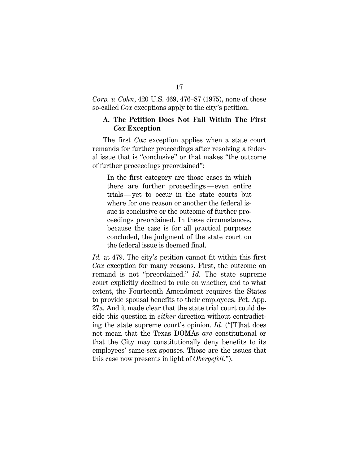*Corp. v. Cohn*, 420 U.S. 469, 476–87 (1975), none of these so-called *Cox* exceptions apply to the city's petition.

### **A. The Petition Does Not Fall Within The First**  *Cox* **Exception**

The first *Cox* exception applies when a state court remands for further proceedings after resolving a federal issue that is "conclusive" or that makes "the outcome of further proceedings preordained":

In the first category are those cases in which there are further proceedings—even entire trials—yet to occur in the state courts but where for one reason or another the federal issue is conclusive or the outcome of further proceedings preordained. In these circumstances, because the case is for all practical purposes concluded, the judgment of the state court on the federal issue is deemed final.

*Id.* at 479. The city's petition cannot fit within this first *Cox* exception for many reasons. First, the outcome on remand is not "preordained." *Id.* The state supreme court explicitly declined to rule on whether, and to what extent, the Fourteenth Amendment requires the States to provide spousal benefits to their employees. Pet. App. 27a. And it made clear that the state trial court could decide this question in *either* direction without contradicting the state supreme court's opinion. *Id.* ("[T]hat does not mean that the Texas DOMAs *are* constitutional or that the City may constitutionally deny benefits to its employees' same-sex spouses. Those are the issues that this case now presents in light of *Obergefell*.").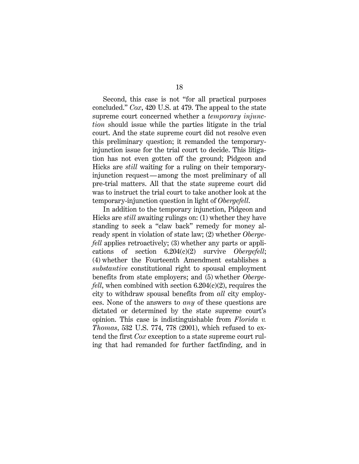Second, this case is not "for all practical purposes concluded." *Cox*, 420 U.S. at 479. The appeal to the state supreme court concerned whether a *temporary injunction* should issue while the parties litigate in the trial court. And the state supreme court did not resolve even this preliminary question; it remanded the temporaryinjunction issue for the trial court to decide. This litigation has not even gotten off the ground; Pidgeon and Hicks are *still* waiting for a ruling on their temporaryinjunction request—among the most preliminary of all pre-trial matters. All that the state supreme court did was to instruct the trial court to take another look at the temporary-injunction question in light of *Obergefell*.

In addition to the temporary injunction, Pidgeon and Hicks are *still* awaiting rulings on: (1) whether they have standing to seek a "claw back" remedy for money already spent in violation of state law; (2) whether *Obergefell* applies retroactively; (3) whether any parts or applications of section 6.204(c)(2) survive *Obergefell*; (4) whether the Fourteenth Amendment establishes a *substantive* constitutional right to spousal employment benefits from state employers; and (5) whether *Obergefell*, when combined with section 6.204(c)(2), requires the city to withdraw spousal benefits from *all* city employees. None of the answers to *any* of these questions are dictated or determined by the state supreme court's opinion. This case is indistinguishable from *Florida v. Thomas*, 532 U.S. 774, 778 (2001), which refused to extend the first *Cox* exception to a state supreme court ruling that had remanded for further factfinding, and in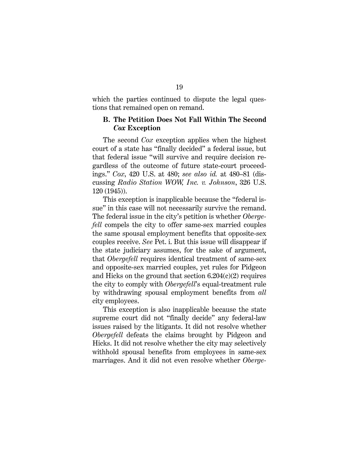which the parties continued to dispute the legal questions that remained open on remand.

### **B. The Petition Does Not Fall Within The Second**  *Cox* **Exception**

The second *Cox* exception applies when the highest court of a state has "finally decided" a federal issue, but that federal issue "will survive and require decision regardless of the outcome of future state-court proceedings." *Cox*, 420 U.S. at 480; *see also id.* at 480–81 (discussing *Radio Station WOW, Inc. v. Johnson*, 326 U.S. 120 (1945)).

This exception is inapplicable because the "federal issue" in this case will not necessarily survive the remand. The federal issue in the city's petition is whether *Obergefell* compels the city to offer same-sex married couples the same spousal employment benefits that opposite-sex couples receive. *See* Pet. i. But this issue will disappear if the state judiciary assumes, for the sake of argument, that *Obergefell* requires identical treatment of same-sex and opposite-sex married couples, yet rules for Pidgeon and Hicks on the ground that section 6.204(c)(2) requires the city to comply with *Obergefell*'s equal-treatment rule by withdrawing spousal employment benefits from *all* city employees.

This exception is also inapplicable because the state supreme court did not "finally decide" any federal-law issues raised by the litigants. It did not resolve whether *Obergefell* defeats the claims brought by Pidgeon and Hicks. It did not resolve whether the city may selectively withhold spousal benefits from employees in same-sex marriages. And it did not even resolve whether *Oberge-*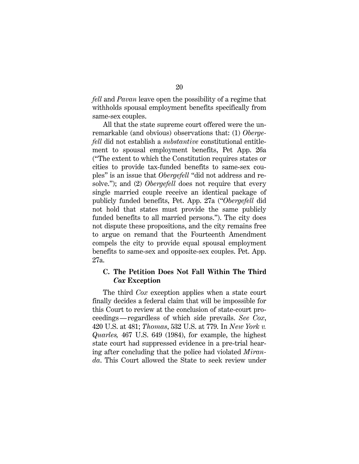*fell* and *Pavan* leave open the possibility of a regime that withholds spousal employment benefits specifically from same-sex couples.

All that the state supreme court offered were the unremarkable (and obvious) observations that: (1) *Obergefell* did not establish a *substantive* constitutional entitlement to spousal employment benefits, Pet App. 26a ("The extent to which the Constitution requires states or cities to provide tax-funded benefits to same-sex couples" is an issue that *Obergefell* "did not address and resolve."); and (2) *Obergefell* does not require that every single married couple receive an identical package of publicly funded benefits, Pet. App. 27a ("*Obergefell* did not hold that states must provide the same publicly funded benefits to all married persons."). The city does not dispute these propositions, and the city remains free to argue on remand that the Fourteenth Amendment compels the city to provide equal spousal employment benefits to same-sex and opposite-sex couples. Pet. App. 27a.

## **C. The Petition Does Not Fall Within The Third**  *Cox* **Exception**

The third *Cox* exception applies when a state court finally decides a federal claim that will be impossible for this Court to review at the conclusion of state-court proceedings—regardless of which side prevails. *See Cox*, 420 U.S. at 481; *Thomas*, 532 U.S. at 779. In *New York v. Quarles,* 467 U.S. 649 (1984), for example, the highest state court had suppressed evidence in a pre-trial hearing after concluding that the police had violated *Miranda*. This Court allowed the State to seek review under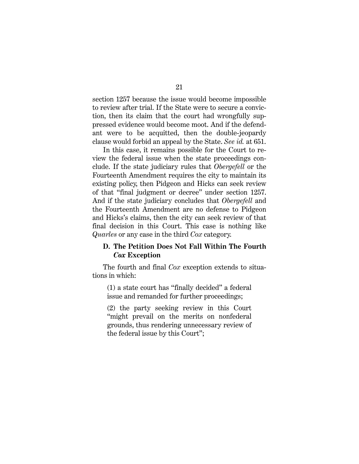section 1257 because the issue would become impossible to review after trial. If the State were to secure a conviction, then its claim that the court had wrongfully suppressed evidence would become moot. And if the defendant were to be acquitted, then the double-jeopardy clause would forbid an appeal by the State. *See id.* at 651.

In this case, it remains possible for the Court to review the federal issue when the state proceedings conclude. If the state judiciary rules that *Obergefell* or the Fourteenth Amendment requires the city to maintain its existing policy, then Pidgeon and Hicks can seek review of that "final judgment or decree" under section 1257. And if the state judiciary concludes that *Obergefell* and the Fourteenth Amendment are no defense to Pidgeon and Hicks's claims, then the city can seek review of that final decision in this Court. This case is nothing like *Quarles* or any case in the third *Cox* category.

### **D. The Petition Does Not Fall Within The Fourth**  *Cox* **Exception**

The fourth and final *Cox* exception extends to situations in which:

(1) a state court has "finally decided" a federal issue and remanded for further proceedings;

(2) the party seeking review in this Court "might prevail on the merits on nonfederal grounds, thus rendering unnecessary review of the federal issue by this Court";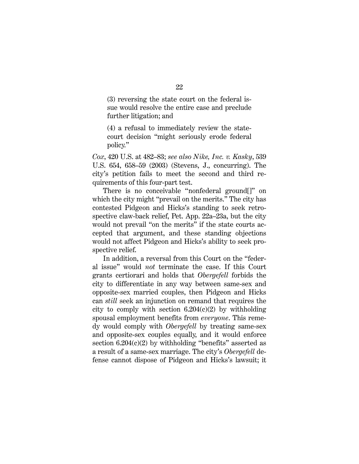(3) reversing the state court on the federal issue would resolve the entire case and preclude further litigation; and

(4) a refusal to immediately review the statecourt decision "might seriously erode federal policy."

*Cox*, 420 U.S. at 482–83; *see also Nike, Inc. v. Kasky*, 539 U.S. 654, 658–59 (2003) (Stevens, J., concurring). The city's petition fails to meet the second and third requirements of this four-part test.

There is no conceivable "nonfederal ground[]" on which the city might "prevail on the merits." The city has contested Pidgeon and Hicks's standing to seek retrospective claw-back relief, Pet. App. 22a–23a, but the city would not prevail "on the merits" if the state courts accepted that argument, and these standing objections would not affect Pidgeon and Hicks's ability to seek prospective relief.

In addition, a reversal from this Court on the "federal issue" would *not* terminate the case. If this Court grants certiorari and holds that *Obergefell* forbids the city to differentiate in any way between same-sex and opposite-sex married couples, then Pidgeon and Hicks can *still* seek an injunction on remand that requires the city to comply with section  $6.204(c)(2)$  by withholding spousal employment benefits from *everyone*. This remedy would comply with *Obergefell* by treating same-sex and opposite-sex couples equally, and it would enforce section  $6.204(c)(2)$  by withholding "benefits" asserted as a result of a same-sex marriage. The city's *Obergefell* defense cannot dispose of Pidgeon and Hicks's lawsuit; it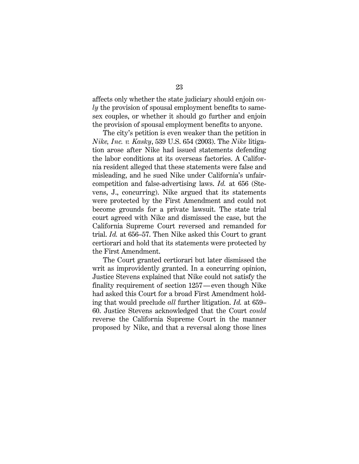affects only whether the state judiciary should enjoin *only* the provision of spousal employment benefits to samesex couples, or whether it should go further and enjoin the provision of spousal employment benefits to anyone.

The city's petition is even weaker than the petition in *Nike, Inc. v. Kasky*, 539 U.S. 654 (2003). The *Nike* litigation arose after Nike had issued statements defending the labor conditions at its overseas factories. A California resident alleged that these statements were false and misleading, and he sued Nike under California's unfaircompetition and false-advertising laws. *Id.* at 656 (Stevens, J., concurring). Nike argued that its statements were protected by the First Amendment and could not become grounds for a private lawsuit. The state trial court agreed with Nike and dismissed the case, but the California Supreme Court reversed and remanded for trial. *Id.* at 656–57. Then Nike asked this Court to grant certiorari and hold that its statements were protected by the First Amendment.

The Court granted certiorari but later dismissed the writ as improvidently granted. In a concurring opinion, Justice Stevens explained that Nike could not satisfy the finality requirement of section 1257—even though Nike had asked this Court for a broad First Amendment holding that would preclude *all* further litigation. *Id.* at 659– 60. Justice Stevens acknowledged that the Court *could* reverse the California Supreme Court in the manner proposed by Nike, and that a reversal along those lines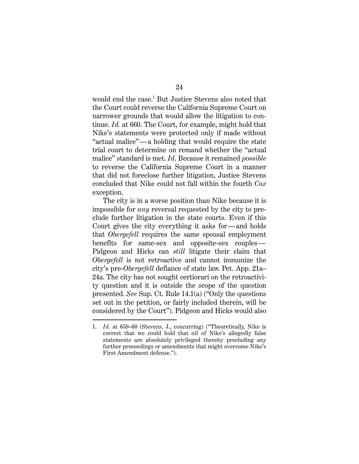would end the case. <sup>1</sup> But Justice Stevens also noted that the Court could reverse the California Supreme Court on narrower grounds that would allow the litigation to continue. *Id.* at 660. The Court, for example, might hold that Nike's statements were protected only if made without "actual malice"—a holding that would require the state trial court to determine on remand whether the "actual malice" standard is met. *Id*. Because it remained *possible* to reverse the California Supreme Court in a manner that did not foreclose further litigation, Justice Stevens concluded that Nike could not fall within the fourth *Cox* exception.

The city is in a worse position than Nike because it is impossible for *any* reversal requested by the city to preclude further litigation in the state courts. Even if this Court gives the city everything it asks for—and holds that *Obergefell* requires the same spousal employment benefits for same-sex and opposite-sex couples— Pidgeon and Hicks can *still* litigate their claim that *Obergefell* is not retroactive and cannot immunize the city's pre-*Obergefell* defiance of state law. Pet. App. 21a– 24a. The city has not sought certiorari on the retroactivity question and it is outside the scope of the question presented. *See* Sup. Ct. Rule 14.1(a) ("Only the questions set out in the petition, or fairly included therein, will be considered by the Court"). Pidgeon and Hicks would also

 <sup>1.</sup> *Id.* at 659–60 (Stevens, J., concurring) ("Theoretically, Nike is correct that we could hold that *all* of Nike's allegedly false statements are absolutely privileged thereby precluding any further proceedings or amendments that might overcome Nike's First Amendment defense.").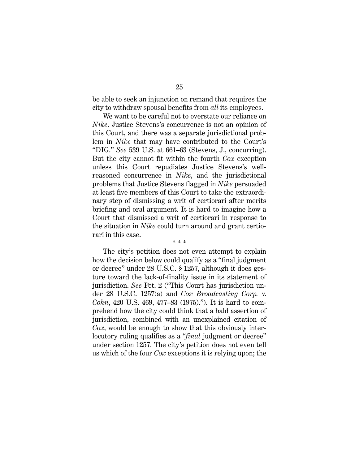be able to seek an injunction on remand that requires the city to withdraw spousal benefits from *all* its employees.

We want to be careful not to overstate our reliance on *Nike*. Justice Stevens's concurrence is not an opinion of this Court, and there was a separate jurisdictional problem in *Nike* that may have contributed to the Court's "DIG." *See* 539 U.S. at 661–63 (Stevens, J., concurring). But the city cannot fit within the fourth *Cox* exception unless this Court repudiates Justice Stevens's wellreasoned concurrence in *Nike*, and the jurisdictional problems that Justice Stevens flagged in *Nike* persuaded at least five members of this Court to take the extraordinary step of dismissing a writ of certiorari after merits briefing and oral argument. It is hard to imagine how a Court that dismissed a writ of certiorari in response to the situation in *Nike* could turn around and grant certiorari in this case. \* \* \*

The city's petition does not even attempt to explain how the decision below could qualify as a "final judgment or decree" under 28 U.S.C. § 1257, although it does gesture toward the lack-of-finality issue in its statement of jurisdiction. *See* Pet. 2 ("This Court has jurisdiction under 28 U.S.C. 1257(a) and *Cox Broadcasting Corp.* v. *Cohn*, 420 U.S. 469, 477–83 (1975)."). It is hard to comprehend how the city could think that a bald assertion of jurisdiction, combined with an unexplained citation of *Cox*, would be enough to show that this obviously interlocutory ruling qualifies as a "*final* judgment or decree" under section 1257. The city's petition does not even tell us which of the four *Cox* exceptions it is relying upon; the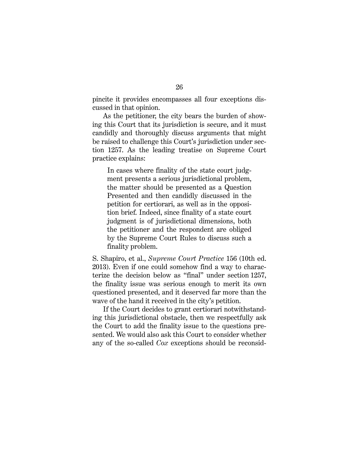pincite it provides encompasses all four exceptions discussed in that opinion.

As the petitioner, the city bears the burden of showing this Court that its jurisdiction is secure, and it must candidly and thoroughly discuss arguments that might be raised to challenge this Court's jurisdiction under section 1257. As the leading treatise on Supreme Court practice explains:

In cases where finality of the state court judgment presents a serious jurisdictional problem, the matter should be presented as a Question Presented and then candidly discussed in the petition for certiorari, as well as in the opposition brief. Indeed, since finality of a state court judgment is of jurisdictional dimensions, both the petitioner and the respondent are obliged by the Supreme Court Rules to discuss such a finality problem.

S. Shapiro, et al., *Supreme Court Practice* 156 (10th ed. 2013). Even if one could somehow find a way to characterize the decision below as "final" under section 1257, the finality issue was serious enough to merit its own questioned presented, and it deserved far more than the wave of the hand it received in the city's petition.

If the Court decides to grant certiorari notwithstanding this jurisdictional obstacle, then we respectfully ask the Court to add the finality issue to the questions presented. We would also ask this Court to consider whether any of the so-called *Cox* exceptions should be reconsid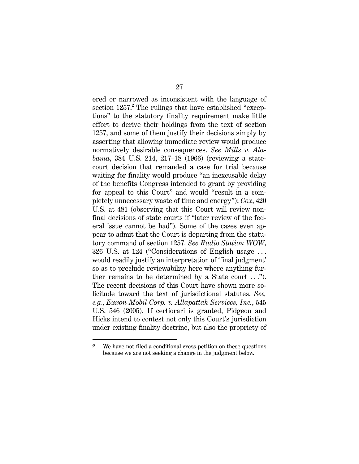ered or narrowed as inconsistent with the language of section  $1257<sup>2</sup>$ . The rulings that have established "exceptions" to the statutory finality requirement make little effort to derive their holdings from the text of section 1257, and some of them justify their decisions simply by asserting that allowing immediate review would produce normatively desirable consequences. *See Mills v. Alabama*, 384 U.S. 214, 217–18 (1966) (reviewing a statecourt decision that remanded a case for trial because waiting for finality would produce "an inexcusable delay of the benefits Congress intended to grant by providing for appeal to this Court" and would "result in a completely unnecessary waste of time and energy"); *Cox*, 420 U.S. at 481 (observing that this Court will review nonfinal decisions of state courts if "later review of the federal issue cannot be had"). Some of the cases even appear to admit that the Court is departing from the statutory command of section 1257. *See Radio Station WOW*, 326 U.S. at 124 ("Considerations of English usage . . . would readily justify an interpretation of 'final judgment' so as to preclude reviewability here where anything further remains to be determined by a State court  $\dots$ "). The recent decisions of this Court have shown more solicitude toward the text of jurisdictional statutes. *See, e.g.*, *Exxon Mobil Corp. v. Allapattah Services, Inc.*, 545 U.S. 546 (2005). If certiorari is granted, Pidgeon and Hicks intend to contest not only this Court's jurisdiction under existing finality doctrine, but also the propriety of

 <sup>2.</sup> We have not filed a conditional cross-petition on these questions because we are not seeking a change in the judgment below.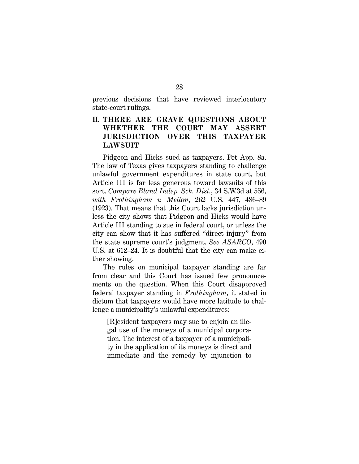previous decisions that have reviewed interlocutory state-court rulings.

## **II. THERE ARE GRAVE QUESTIONS ABOUT WHETHER THE COURT MAY ASSERT JURISDICTION OVER THIS TAXPAYER LAWSUIT**

Pidgeon and Hicks sued as taxpayers. Pet App. 8a. The law of Texas gives taxpayers standing to challenge unlawful government expenditures in state court, but Article III is far less generous toward lawsuits of this sort. *Compare Bland Indep. Sch. Dist.*, 34 S.W.3d at 556, *with Frothingham v. Mellon*, 262 U.S. 447, 486–89 (1923). That means that this Court lacks jurisdiction unless the city shows that Pidgeon and Hicks would have Article III standing to sue in federal court, or unless the city can show that it has suffered "direct injury" from the state supreme court's judgment. *See ASARCO*, 490 U.S. at 612–24. It is doubtful that the city can make either showing.

The rules on municipal taxpayer standing are far from clear and this Court has issued few pronouncements on the question. When this Court disapproved federal taxpayer standing in *Frothingham*, it stated in dictum that taxpayers would have more latitude to challenge a municipality's unlawful expenditures:

[R]esident taxpayers may sue to enjoin an illegal use of the moneys of a municipal corporation. The interest of a taxpayer of a municipality in the application of its moneys is direct and immediate and the remedy by injunction to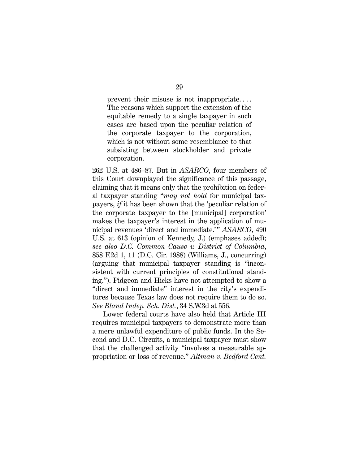prevent their misuse is not inappropriate. . . . The reasons which support the extension of the equitable remedy to a single taxpayer in such cases are based upon the peculiar relation of the corporate taxpayer to the corporation, which is not without some resemblance to that subsisting between stockholder and private corporation.

262 U.S. at 486–87. But in *ASARCO*, four members of this Court downplayed the significance of this passage, claiming that it means only that the prohibition on federal taxpayer standing "*may not hold* for municipal taxpayers, *if* it has been shown that the 'peculiar relation of the corporate taxpayer to the [municipal] corporation' makes the taxpayer's interest in the application of municipal revenues 'direct and immediate.'" *ASARCO*, 490 U.S. at 613 (opinion of Kennedy, J.) (emphases added); *see also D.C. Common Cause v. District of Columbia*, 858 F.2d 1, 11 (D.C. Cir. 1988) (Williams, J., concurring) (arguing that municipal taxpayer standing is "inconsistent with current principles of constitutional standing."). Pidgeon and Hicks have not attempted to show a "direct and immediate" interest in the city's expenditures because Texas law does not require them to do so. *See Bland Indep. Sch. Dist.*, 34 S.W.3d at 556.

Lower federal courts have also held that Article III requires municipal taxpayers to demonstrate more than a mere unlawful expenditure of public funds. In the Second and D.C. Circuits, a municipal taxpayer must show that the challenged activity "involves a measurable appropriation or loss of revenue." *Altman v. Bedford Cent.*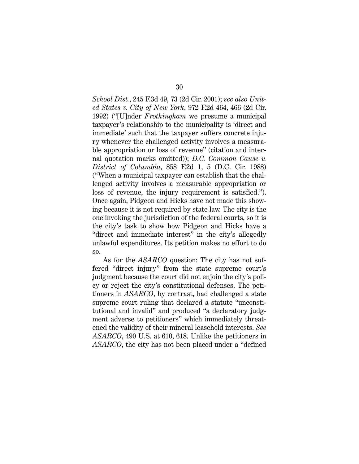*School Dist.*, 245 F.3d 49, 73 (2d Cir. 2001); *see also United States v. City of New York*, 972 F.2d 464, 466 (2d Cir. 1992) ("[U]nder *Frothingham* we presume a municipal taxpayer's relationship to the municipality is 'direct and immediate' such that the taxpayer suffers concrete injury whenever the challenged activity involves a measurable appropriation or loss of revenue" (citation and internal quotation marks omitted)); *D.C. Common Cause v. District of Columbia*, 858 F.2d 1, 5 (D.C. Cir. 1988) ("When a municipal taxpayer can establish that the challenged activity involves a measurable appropriation or loss of revenue, the injury requirement is satisfied."). Once again, Pidgeon and Hicks have not made this showing because it is not required by state law. The city is the one invoking the jurisdiction of the federal courts, so it is the city's task to show how Pidgeon and Hicks have a "direct and immediate interest" in the city's allegedly unlawful expenditures. Its petition makes no effort to do so.

As for the *ASARCO* question: The city has not suffered "direct injury" from the state supreme court's judgment because the court did not enjoin the city's policy or reject the city's constitutional defenses. The petitioners in *ASARCO*, by contrast, had challenged a state supreme court ruling that declared a statute "unconstitutional and invalid" and produced "a declaratory judgment adverse to petitioners" which immediately threatened the validity of their mineral leasehold interests. *See ASARCO*, 490 U.S. at 610, 618. Unlike the petitioners in *ASARCO*, the city has not been placed under a "defined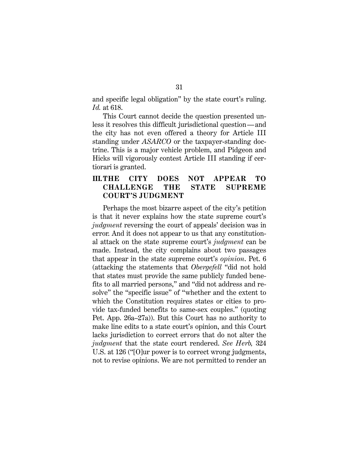and specific legal obligation" by the state court's ruling. *Id.* at 618.

This Court cannot decide the question presented unless it resolves this difficult jurisdictional question—and the city has not even offered a theory for Article III standing under *ASARCO* or the taxpayer-standing doctrine. This is a major vehicle problem, and Pidgeon and Hicks will vigorously contest Article III standing if certiorari is granted.

## **III.THE CITY DOES NOT APPEAR TO CHALLENGE THE STATE SUPREME COURT'S JUDGMENT**

Perhaps the most bizarre aspect of the city's petition is that it never explains how the state supreme court's *judgment* reversing the court of appeals' decision was in error. And it does not appear to us that any constitutional attack on the state supreme court's *judgment* can be made. Instead, the city complains about two passages that appear in the state supreme court's *opinion*. Pet. 6 (attacking the statements that *Obergefell* "did not hold that states must provide the same publicly funded benefits to all married persons," and "did not address and resolve" the "specific issue" of "whether and the extent to which the Constitution requires states or cities to provide tax-funded benefits to same-sex couples." (quoting Pet. App. 26a–27a)). But this Court has no authority to make line edits to a state court's opinion, and this Court lacks jurisdiction to correct errors that do not alter the *judgment* that the state court rendered. *See Herb,* 324 U.S. at 126 ("[O]ur power is to correct wrong judgments, not to revise opinions. We are not permitted to render an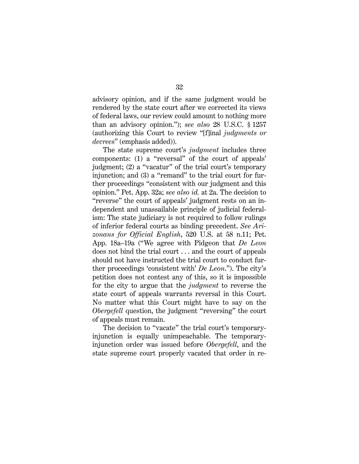advisory opinion, and if the same judgment would be rendered by the state court after we corrected its views of federal laws, our review could amount to nothing more than an advisory opinion."); *see also* 28 U.S.C. § 1257 (authorizing this Court to review "[f]inal *judgments or decrees*" (emphasis added)).

The state supreme court's *judgment* includes three components: (1) a "reversal" of the court of appeals' judgment; (2) a "vacatur" of the trial court's temporary injunction; and (3) a "remand" to the trial court for further proceedings "consistent with our judgment and this opinion." Pet. App. 32a; *see also id.* at 2a. The decision to "reverse" the court of appeals' judgment rests on an independent and unassailable principle of judicial federalism: The state judiciary is not required to follow rulings of inferior federal courts as binding precedent. *See Arizonans for Official English*, 520 U.S. at 58 n.11; Pet. App. 18a–19a ("We agree with Pidgeon that *De Leon*  does not bind the trial court . . . and the court of appeals should not have instructed the trial court to conduct further proceedings 'consistent with' *De Leon*."). The city's petition does not contest any of this, so it is impossible for the city to argue that the *judgment* to reverse the state court of appeals warrants reversal in this Court. No matter what this Court might have to say on the *Obergefell* question, the judgment "reversing" the court of appeals must remain.

The decision to "vacate" the trial court's temporaryinjunction is equally unimpeachable. The temporaryinjunction order was issued before *Obergefell*, and the state supreme court properly vacated that order in re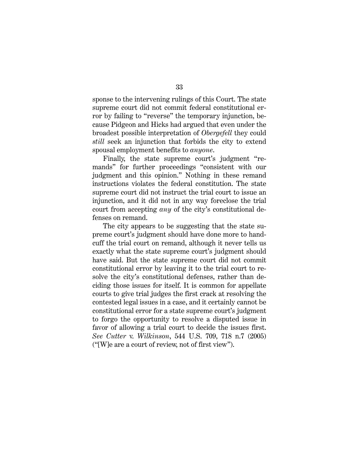sponse to the intervening rulings of this Court. The state supreme court did not commit federal constitutional error by failing to "reverse" the temporary injunction, because Pidgeon and Hicks had argued that even under the broadest possible interpretation of *Obergefell* they could *still* seek an injunction that forbids the city to extend spousal employment benefits to *anyone*.

Finally, the state supreme court's judgment "remands" for further proceedings "consistent with our judgment and this opinion." Nothing in these remand instructions violates the federal constitution. The state supreme court did not instruct the trial court to issue an injunction, and it did not in any way foreclose the trial court from accepting *any* of the city's constitutional defenses on remand.

The city appears to be suggesting that the state supreme court's judgment should have done more to handcuff the trial court on remand, although it never tells us exactly what the state supreme court's judgment should have said. But the state supreme court did not commit constitutional error by leaving it to the trial court to resolve the city's constitutional defenses, rather than deciding those issues for itself. It is common for appellate courts to give trial judges the first crack at resolving the contested legal issues in a case, and it certainly cannot be constitutional error for a state supreme court's judgment to forgo the opportunity to resolve a disputed issue in favor of allowing a trial court to decide the issues first. *See Cutter* v. *Wilkinson*, 544 U.S. 709, 718 n.7 (2005) ("[W]e are a court of review, not of first view").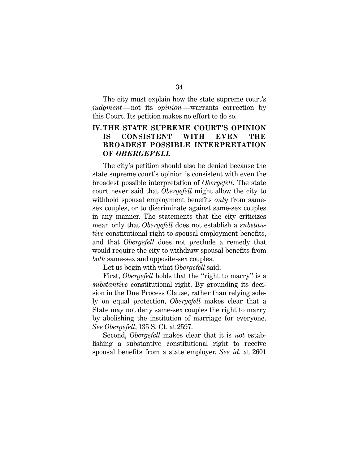The city must explain how the state supreme court's *judgment*—not its *opinion*—warrants correction by this Court. Its petition makes no effort to do so.

## **IV.THE STATE SUPREME COURT'S OPINION IS CONSISTENT WITH EVEN THE BROADEST POSSIBLE INTERPRETATION OF** *OBERGEFELL*

The city's petition should also be denied because the state supreme court's opinion is consistent with even the broadest possible interpretation of *Obergefell*. The state court never said that *Obergefell* might allow the city to withhold spousal employment benefits *only* from samesex couples, or to discriminate against same-sex couples in any manner. The statements that the city criticizes mean only that *Obergefell* does not establish a *substantive* constitutional right to spousal employment benefits, and that *Obergefell* does not preclude a remedy that would require the city to withdraw spousal benefits from *both* same-sex and opposite-sex couples.

Let us begin with what *Obergefell* said:

First, *Obergefell* holds that the "right to marry" is a *substantive* constitutional right. By grounding its decision in the Due Process Clause, rather than relying solely on equal protection, *Obergefell* makes clear that a State may not deny same-sex couples the right to marry by abolishing the institution of marriage for everyone. *See Obergefell*, 135 S. Ct. at 2597.

Second, *Obergefell* makes clear that it is *not* establishing a substantive constitutional right to receive spousal benefits from a state employer. *See id.* at 2601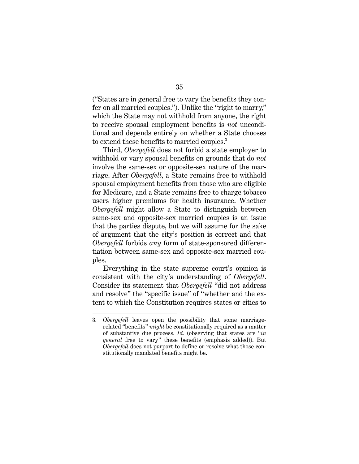("States are in general free to vary the benefits they confer on all married couples."). Unlike the "right to marry," which the State may not withhold from anyone, the right to receive spousal employment benefits is *not* unconditional and depends entirely on whether a State chooses to extend these benefits to married couples.<sup>3</sup>

Third, *Obergefell* does not forbid a state employer to withhold or vary spousal benefits on grounds that do *not* involve the same-sex or opposite-sex nature of the marriage. After *Obergefell*, a State remains free to withhold spousal employment benefits from those who are eligible for Medicare, and a State remains free to charge tobacco users higher premiums for health insurance. Whether *Obergefell* might allow a State to distinguish between same-sex and opposite-sex married couples is an issue that the parties dispute, but we will assume for the sake of argument that the city's position is correct and that *Obergefell* forbids *any* form of state-sponsored differentiation between same-sex and opposite-sex married couples.

Everything in the state supreme court's opinion is consistent with the city's understanding of *Obergefell*. Consider its statement that *Obergefell* "did not address and resolve" the "specific issue" of "whether and the extent to which the Constitution requires states or cities to

 <sup>3.</sup> *Obergefell* leaves open the possibility that some marriagerelated "benefits" *might* be constitutionally required as a matter of substantive due process. *Id.* (observing that states are "*in general* free to vary" these benefits (emphasis added)). But *Obergefell* does not purport to define or resolve what those constitutionally mandated benefits might be.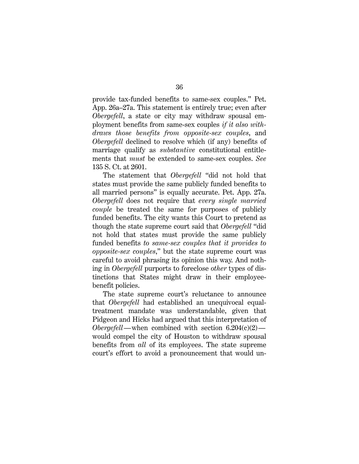provide tax-funded benefits to same-sex couples." Pet. App. 26a–27a. This statement is entirely true; even after *Obergefell*, a state or city may withdraw spousal employment benefits from same-sex couples *if it also withdraws those benefits from opposite-sex couples*, and *Obergefell* declined to resolve which (if any) benefits of marriage qualify as *substantive* constitutional entitlements that *must* be extended to same-sex couples. *See* 135 S. Ct. at 2601.

The statement that *Obergefell* "did not hold that states must provide the same publicly funded benefits to all married persons" is equally accurate. Pet. App. 27a. *Obergefell* does not require that *every single married couple* be treated the same for purposes of publicly funded benefits. The city wants this Court to pretend as though the state supreme court said that *Obergefell* "did not hold that states must provide the same publicly funded benefits *to same-sex couples that it provides to opposite-sex couples*," but the state supreme court was careful to avoid phrasing its opinion this way. And nothing in *Obergefell* purports to foreclose *other* types of distinctions that States might draw in their employeebenefit policies.

The state supreme court's reluctance to announce that *Obergefell* had established an unequivocal equaltreatment mandate was understandable, given that Pidgeon and Hicks had argued that this interpretation of *Obergefell*—when combined with section  $6.204(c)(2)$  would compel the city of Houston to withdraw spousal benefits from *all* of its employees. The state supreme court's effort to avoid a pronouncement that would un-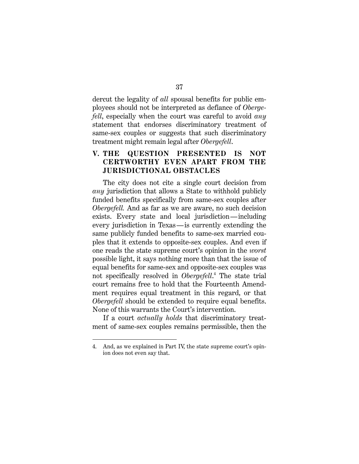dercut the legality of *all* spousal benefits for public employees should not be interpreted as defiance of *Obergefell*, especially when the court was careful to avoid *any* statement that endorses discriminatory treatment of same-sex couples or suggests that such discriminatory treatment might remain legal after *Obergefell*.

## **V. THE QUESTION PRESENTED IS NOT CERTWORTHY EVEN APART FROM THE JURISDICTIONAL OBSTACLES**

The city does not cite a single court decision from *any* jurisdiction that allows a State to withhold publicly funded benefits specifically from same-sex couples after *Obergefell.* And as far as we are aware, no such decision exists. Every state and local jurisdiction—including every jurisdiction in Texas—is currently extending the same publicly funded benefits to same-sex married couples that it extends to opposite-sex couples. And even if one reads the state supreme court's opinion in the *worst* possible light, it says nothing more than that the issue of equal benefits for same-sex and opposite-sex couples was not specifically resolved in *Obergefell*. <sup>4</sup> The state trial court remains free to hold that the Fourteenth Amendment requires equal treatment in this regard, or that *Obergefell* should be extended to require equal benefits. None of this warrants the Court's intervention.

If a court *actually holds* that discriminatory treatment of same-sex couples remains permissible, then the

 <sup>4.</sup> And, as we explained in Part IV, the state supreme court's opinion does not even say that.